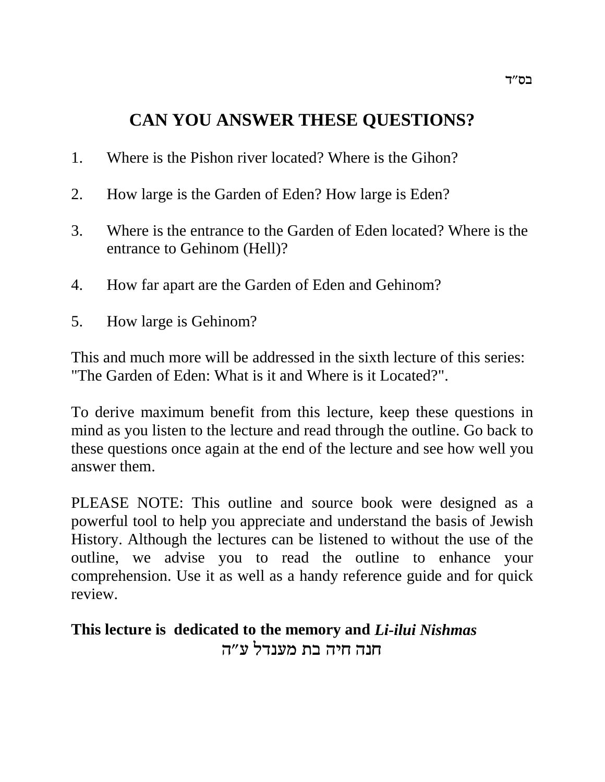# **CAN YOU ANSWER THESE QUESTIONS?**

- 1. Where is the Pishon river located? Where is the Gihon?
- 2. How large is the Garden of Eden? How large is Eden?
- 3. Where is the entrance to the Garden of Eden located? Where is the entrance to Gehinom (Hell)?
- 4. How far apart are the Garden of Eden and Gehinom?
- 5. How large is Gehinom?

This and much more will be addressed in the sixth lecture of this series: "The Garden of Eden: What is it and Where is it Located?".

To derive maximum benefit from this lecture, keep these questions in mind as you listen to the lecture and read through the outline. Go back to these questions once again at the end of the lecture and see how well you answer them.

PLEASE NOTE: This outline and source book were designed as a powerful tool to help you appreciate and understand the basis of Jewish History. Although the lectures can be listened to without the use of the outline, we advise you to read the outline to enhance your comprehension. Use it as well as a handy reference guide and for quick review.

# **This lecture is dedicated to the memory and** *Li-ilui Nishmas* חנה חיה בת מענדל ע״ה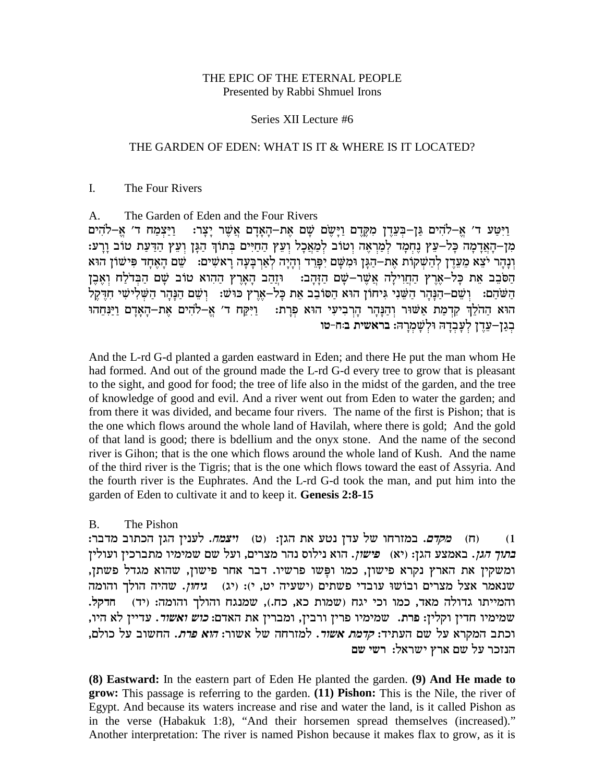#### THE EPIC OF THE ETERNAL PEOPLE Presented by Rabbi Shmuel Irons

#### Series XII Lecture #6

#### THE GARDEN OF EDEN: WHAT IS IT & WHERE IS IT LOCATED?

#### $\mathbf{I}$ . The Four Rivers

The Garden of Eden and the Four Rivers  $\mathsf{A}$ . וַיְּטַע ד׳ אֵ–לֹהִים גַּן–בְּעֲדֶן מְקֵדֵם וַיַּשֵׂם שָׁם אֶת–הָאָדָם אֲשֶׁר יָצָר: וַיַּצְמַח ד׳ אֵ–להים מן-האדמה כל-עץ נחמד למראה וטוב למאכל ועץ החיים בתוך הגן ועץ הדעת טוב ורע: וְנָהָר יֹצֵא מֵעֲדֵן לְהַשָּׁקוֹת אֵת–הַגָּן וּמִשָּׁם יִפָּרֵד וְהָיָה לְאַרִבָּעָה רָאשִׁים: שֵׁם הָאֵחָד פִּישׁוֹן הוּא הסכב את כל–ארץ החוילה אשר–שם הזהב: תוהב הארץ ההוא טוב שם הבדלח ואבן הַשֹּׁהַם: וְשֵׁם–הַנַּהֵר הַשֵּׁנִי גִּיחוֹן הוּא הַסּוֹבֶב אֶת כַּל–אֶרֶץ כּוּשׁ: וְשֵׁם הַנַּהֵר הַשָּׁלִישִׁי חִדֶקֵל הוא הַהֹלֵךְ קִדְמַת אַשׁוּר וְהַנָּהָר הַרְבִיעִי הוּא פְרַת: - וַיִּקַח ד׳ אֱ–לֹהִים אֶת–הָאָדָם וַיַּנִּחֵהוּ בְגַן−עֶדֶן לְעֲבְדָהּ וּלְשָׁמְרַהּ: בראשית בּוּח-טו

And the L-rd G-d planted a garden eastward in Eden; and there He put the man whom He had formed. And out of the ground made the L-rd G-d every tree to grow that is pleasant to the sight, and good for food; the tree of life also in the midst of the garden, and the tree of knowledge of good and evil. And a river went out from Eden to water the garden; and from there it was divided, and became four rivers. The name of the first is Pishon; that is the one which flows around the whole land of Havilah, where there is gold; And the gold of that land is good; there is bdellium and the onyx stone. And the name of the second river is Gihon; that is the one which flows around the whole land of Kush. And the name of the third river is the Tigris; that is the one which flows toward the east of Assyria. And the fourth river is the Euphrates. And the L-rd G-d took the man, and put him into the garden of Eden to cultivate it and to keep it. Genesis 2:8-15

#### The Pishon  $\mathbf{B}$

(ח) *מקדם.* במזרחו של עדן נטע את הגן: (ט) *ויצמח*. לענין הגן הכתוב מדבר:  $(1)$ *בתוך הגן*. באמצע הגן: (יא) | *פישון*. הוא נילוס נהר מצרים, ועל שם שמימיו מתברכין ועולין ומשקין את הארץ נקרא פישון, כמו ופשו פרשיו. דבר אחר פישון, שהוא מגדל פשתן, שנאמר אצל מצרים ובושו עובדי פשתים (ישעיה יט, י): (יג) | ג*יחון*. שהיה הולך והומה והמייתו גדולה מאד, כמו וכי יגח (שמות כא, כח.), שמנגח והולך והומה: (יד) חדקל. שמימיו חדין וקלין: פרת. שמימיו פרין ורבין, ומברין את האדם: *כוש ואשור*. עדיין לא היו, וכתב המקרא על שם העתיד: *קדמת אשור*. למזרחה של אשור: *הוא פרת*. החשוב על כולם, הנזכר על שם ארץ ישראל: רשי שם

(8) Eastward: In the eastern part of Eden He planted the garden. (9) And He made to grow: This passage is referring to the garden. (11) Pishon: This is the Nile, the river of Egypt. And because its waters increase and rise and water the land, is it called Pishon as in the verse (Habakuk 1:8), "And their horsemen spread themselves (increased)." Another interpretation: The river is named Pishon because it makes flax to grow, as it is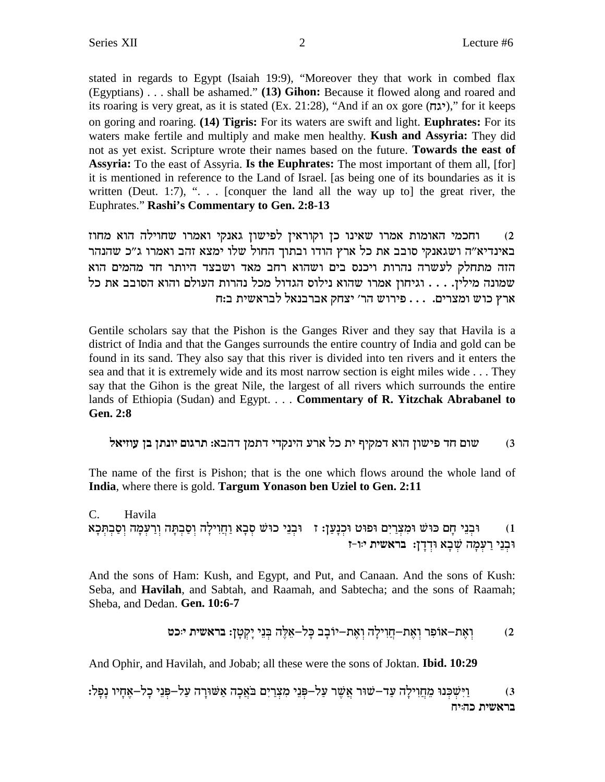stated in regards to Egypt (Isaiah 19:9), "Moreover they that work in combed flax (Egyptians) . . . shall be ashamed." (13) Gihon: Because it flowed along and roared and its roaring is very great, as it is stated (Ex. 21:28), "And if an ox gore (יגה)," for it keeps on goring and roaring. (14) Tigris: For its waters are swift and light. **Euphrates:** For its waters make fertile and multiply and make men healthy. Kush and Assyria: They did not as yet exist. Scripture wrote their names based on the future. Towards the east of **Assyria:** To the east of Assyria. **Is the Euphrates:** The most important of them all, [for] it is mentioned in reference to the Land of Israel. [as being one of its boundaries as it is written (Deut. 1:7), " $\ldots$  [conquer the land all the way up to] the great river, the Euphrates." Rashi's Commentary to Gen. 2:8-13

וחכמי האומות אמרו שאינו כן וקוראין לפישון גאנקי ואמרו שחוילה הוא מחוז  $(2)$ באינדיא״ה ושגאנקי סובב את כל ארץ הודו ובתוך החול שלו ימצא זהב ואמרו ג״כ שהנהר הזה מתחלק לעשרה נהרות ויכנס בים ושהוא רחב מאד ושבצד היותר חד מהמים הוא שמונה מילין. . . . וגיחון אמרו שהוא נילוס הגדול מכל נהרות העולם והוא הסובב את כל ארץ כוש ומצרים. . . . פירוש הר׳ יצחק אברבנאל לבראשית ב:ח

Gentile scholars say that the Pishon is the Ganges River and they say that Havila is a district of India and that the Ganges surrounds the entire country of India and gold can be found in its sand. They also say that this river is divided into ten rivers and it enters the sea and that it is extremely wide and its most narrow section is eight miles wide ... They say that the Gihon is the great Nile, the largest of all rivers which surrounds the entire lands of Ethiopia (Sudan) and Egypt. . . . Commentary of R. Yitzchak Abrabanel to **Gen. 2:8** 

שום חד פישון הוא דמקיף ית כל ארע הינקדי דתמן דהבא: תרגום יונתן בן עוזיאל  $(3)$ 

The name of the first is Pishon; that is the one which flows around the whole land of India, where there is gold. Targum Yonason ben Uziel to Gen. 2:11

 $C_{\cdot}$ Havila ו) - וּכְנֵי חָם כּוּשׁ וּמִצְרַיִם וּפוּט וּכְנָעַן: ז - וּכְנֵי כוּשׁ סְבָא וַחֲוִילָה וְסַבְתָּה וְרַעְמָה וְסַבְתְּכָא<br>וּכְנֵי רַעְמָה שְׁבָא וּדְדָן: בראשית יוּ-ז

And the sons of Ham: Kush, and Egypt, and Put, and Canaan. And the sons of Kush: Seba, and Havilah, and Sabtah, and Raamah, and Sabtecha; and the sons of Raamah; Sheba, and Dedan. Gen. 10:6-7

$$
2
$$
ן אָת–אָנִרְ דְאַת– $p$ ְדְיְרְרְ $p$ ְדְ $p$ ְדְרְרְרְ $p$ ְדָרְרְרְ $p$ ָדָ $p$ ָדָ $p$ ָדָ $p$ ָדָ $p$ 

And Ophir, and Havilah, and Jobab; all these were the sons of Joktan. **Ibid. 10:29** 

וַיִּשְׁכְּנוּ מֶחֲוִילַה עַד–שׁוּר אֲשֶׁר עַל–פְּנֵי מְצְרַיִם בֹּאֲכָה אַשּׁוּרַה עַל–פְּנֵי כַל–אֱחַיו נַפַל:  $(3)$ בראשית כהיח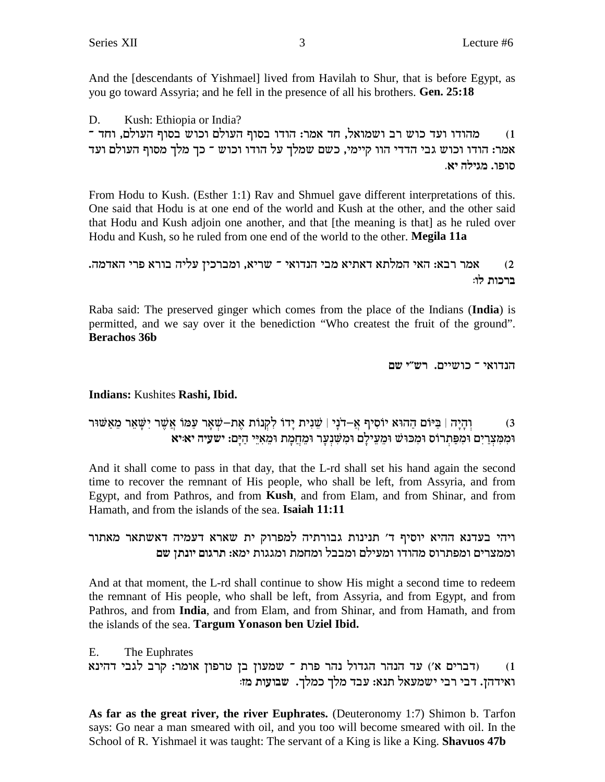And the Idescendants of Yishmael lived from Havilah to Shur, that is before Egypt, as you go toward Assyria; and he fell in the presence of all his brothers. Gen. 25:18

Kush: Ethiopia or India? D. מהודו ועד כוש רב ושמואל, חד אמר: הודו בסוף העולם וכוש בסוף העולם, וחד ־  $(1)$ אמר: הודו וכוש גבי הדדי הוו קיימי, כשם שמלך על הודו וכוש ־ כך מלך מסוף העולם ועד סופו. מגילה יא.

From Hodu to Kush. (Esther 1:1) Rav and Shmuel gave different interpretations of this. One said that Hodu is at one end of the world and Kush at the other, and the other said that Hodu and Kush adjoin one another, and that [the meaning is that] as he ruled over Hodu and Kush, so he ruled from one end of the world to the other. Megila 11a

```
אמר רבא: האי המלתא דאתיא מבי הנדואי ־ שריא, ומברכין עליה בורא פרי האדמה.
                                                                  (2)ברכות לו:
```
Raba said: The preserved ginger which comes from the place of the Indians (India) is permitted, and we say over it the benediction "Who createst the fruit of the ground". **Berachos 36b** 

```
הנדואי ־ כושיים. רש״י שם
```
Indians: Kushites Rashi, Ibid.

#### וְהָיָה | בַּיּוֹם הַהוּא יוֹסִיף אֲ–דֹנָי | שֵׁנִית יַדוֹ לְקְנוֹת אֵת–שָׁאֲר עַמּוֹ אֲשֵׁר יִשָּׁאֵר מֵאֲשׁוּר  $(3)$ וּמְמְצְרֵיִם וּמְפַּתְרוֹס וּמְכּוּשׁ וּמֵעֵילַם וּמְשִׁנְעַר וּמֶחֲמַת וּמֶאָיֵי הַיָּם: ישעיה יאוּיא

And it shall come to pass in that day, that the L-rd shall set his hand again the second time to recover the remnant of His people, who shall be left, from Assyria, and from Egypt, and from Pathros, and from Kush, and from Elam, and from Shinar, and from Hamath, and from the islands of the sea. Isaiah 11:11

ויהי בעדנא ההיא יוסיף ד׳ תנינות גבורתיה למפרוק ית שארא דעמיה דאשתאר מאתור וממצרים ומפתרוס מהודו ומעילם ומבבל ומחמת ומגגות ימא: תרגום יונתן שם

And at that moment, the L-rd shall continue to show His might a second time to redeem the remnant of His people, who shall be left, from Assyria, and from Egypt, and from Pathros, and from India, and from Elam, and from Shinar, and from Hamath, and from the islands of the sea. Targum Yonason ben Uziel Ibid.

E. The Euphrates (דברים א') עד הנהר הגדול נהר פרת ־ שמעון בן טרפון אומר: קרב לגבי דהינא  $(1)$ ואידהן. דבי רבי ישמעאל תנא: עבד מלך כמלך. שבועות מז:

As far as the great river, the river Euphrates. (Deuteronomy 1:7) Shimon b. Tarfon says: Go near a man smeared with oil, and you too will become smeared with oil. In the School of R. Yishmael it was taught: The servant of a King is like a King. Shavuos 47b

3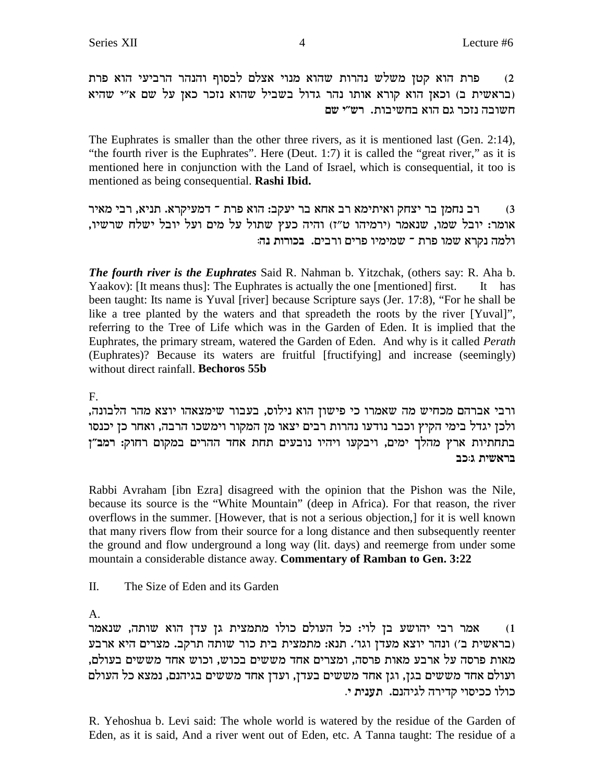פרת הוא קטן משלש נהרות שהוא מנוי אצלם לבסוף והנהר הרביעי הוא פרת  $(2)$ (בראשית ב) וכאן הוא קורא אותו נהר גדול בשביל שהוא נזכר כאן על שם א"י שהיא חשובה נזכר גם הוא בחשיבות. רש״י שם

The Euphrates is smaller than the other three rivers, as it is mentioned last (Gen. 2:14), "the fourth river is the Euphrates". Here (Deut. 1:7) it is called the "great river," as it is mentioned here in conjunction with the Land of Israel, which is consequential, it too is mentioned as being consequential. Rashi Ibid.

רב נחמן בר יצחק ואיתימא רב אחא בר יעקב: הוא פרת ־ דמעיקרא. תניא, רבי מאיר  $(3)$ אומר: יובל שמו, שנאמר (ירמיהו ט״ז) והיה כעץ שתול על מים ועל יובל ישלח שרשיו, ולמה נקרא שמו פרת ־ שמימיו פרים ורבים. בכורות נה:

**The fourth river is the Euphrates** Said R. Nahman b. Yitzchak, (others say: R. Aha b. Yaakov): [It means thus]: The Euphrates is actually the one [mentioned] first. It has been taught: Its name is Yuval [river] because Scripture says (Jer. 17:8), "For he shall be like a tree planted by the waters and that spreadeth the roots by the river [Yuval]", referring to the Tree of Life which was in the Garden of Eden. It is implied that the Euphrates, the primary stream, watered the Garden of Eden. And why is it called *Perath* (Euphrates)? Because its waters are fruitful [fructifying] and increase (seemingly) without direct rainfall. Bechoros 55b

 $F_{\cdot}$ 

ורבי אברהם מכחיש מה שאמרו כי פישון הוא נילוס, בעבור שימצאהו יוצא מהר הלבונה, ולכן יגדל בימי הקיץ וכבר נודעו נהרות רבים יצאו מן המקור וימשכו הרבה, ואחר כן יכנסו בתחתיות ארץ מהלך ימים, ויבקעו ויהיו נובעים תחת אחד ההרים במקום רחוק: רמב"ן בראשית גוכב

Rabbi Avraham [ibn Ezra] disagreed with the opinion that the Pishon was the Nile, because its source is the "White Mountain" (deep in Africa). For that reason, the river overflows in the summer. [However, that is not a serious objection,] for it is well known that many rivers flow from their source for a long distance and then subsequently reenter the ground and flow underground a long way (lit. days) and reemerge from under some mountain a considerable distance away. Commentary of Ramban to Gen. 3:22

 $\Pi$ . The Size of Eden and its Garden

 $\mathbf{A}$ 

אמר רבי יהושע בן לוי: כל העולם כולו מתמצית גן עדן הוא שותה, שנאמר  $(1)$ (בראשית ב') ונהר יוצא מעדן וגו'. תנא: מתמצית בית כור שותה תרקב. מצרים היא ארבע מאות פרסה על ארבע מאות פרסה, ומצרים אחד מששים בכוש, וכוש אחד מששים בעולם, ועולם אחד מששים בגן, וגן אחד מששים בעדן, ועדן אחד מששים בגיהנם, נמצא כל העולם כולו ככיסוי קדירה לגיהנם. תענית י.

R. Yehoshua b. Levi said: The whole world is watered by the residue of the Garden of Eden, as it is said, And a river went out of Eden, etc. A Tanna taught: The residue of a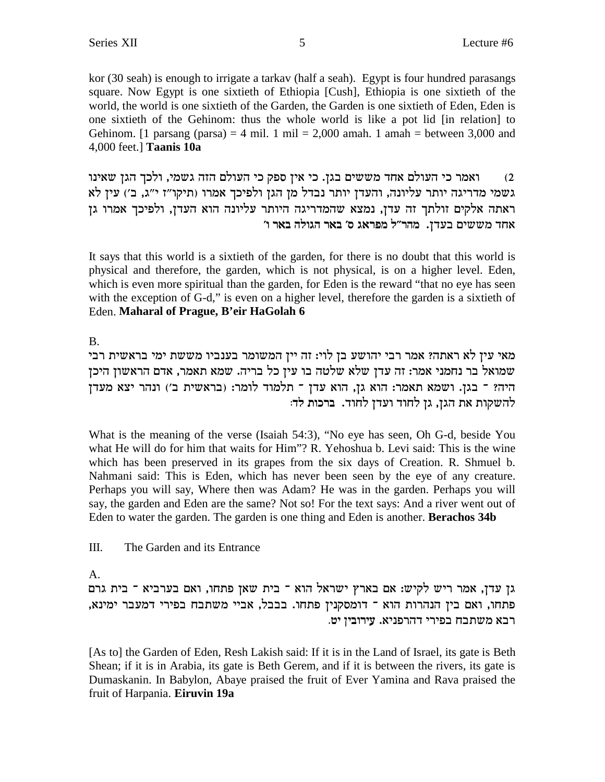kor (30 seah) is enough to irrigate a tarkav (half a seah). Egypt is four hundred parasangs square. Now Egypt is one sixtieth of Ethiopia [Cush], Ethiopia is one sixtieth of the world, the world is one sixtieth of the Garden, the Garden is one sixtieth of Eden, Eden is one sixtieth of the Gehinom: thus the whole world is like a pot lid [in relation] to Gehinom. [1 parsang (parsa) = 4 mil. 1 mil = 2,000 amah. 1 amah = between 3,000 and 4,000 feet.] **Taanis 10a**

ואמר כי העולם אחד מששים בגן. כי אין ספק כי העולם הזה גשמי, ולכך הגן שאינו  $\,2\,$ גשמי מדריגה יותר עליונה, והעדן יותר נבדל מן הגן ולפיכך אמרו (תיקו"ז י"ג, ב') עין לא ראתה אלקים זולתך זה עדן, נמצא שהמדריגה היותר עליונה הוא העדן, ולפיכך אמרו גן **'e x`a dlebd x`a 'q b`xtn l"xdn** .ocra miyyn cg`

It says that this world is a sixtieth of the garden, for there is no doubt that this world is physical and therefore, the garden, which is not physical, is on a higher level. Eden, which is even more spiritual than the garden, for Eden is the reward "that no eye has seen with the exception of G-d," is even on a higher level, therefore the garden is a sixtieth of Eden. **Maharal of Prague, B'eir HaGolah 6**

B.

מאי עין לא ראתה? אמר רבי יהושע בן לוי: זה יין המשומר בענביו מששת ימי בראשית רבי סמואל בר נחמני אמר: זה עדן שלא שלטה בו עין כל בריה. שמא תאמר, אדם הראשון היכן  $^\circ$ היה? ־ בגן. ושמא תאמר: הוא גן, הוא עדן ־ תלמוד לומר: (בראשית ב׳) ונהר יצא מעדן להשקות את הגן, גן לחוד ועדן לחוד. ברכות לד:

What is the meaning of the verse (Isaiah 54:3), "No eye has seen, Oh G-d, beside You what He will do for him that waits for Him"? R. Yehoshua b. Levi said: This is the wine which has been preserved in its grapes from the six days of Creation. R. Shmuel b. Nahmani said: This is Eden, which has never been seen by the eye of any creature. Perhaps you will say, Where then was Adam? He was in the garden. Perhaps you will say, the garden and Eden are the same? Not so! For the text says: And a river went out of Eden to water the garden. The garden is one thing and Eden is another. **Berachos 34b**

III. The Garden and its Entrance

A.

גן עדן, אמר ריש לקיש: אם בארץ ישראל הוא ־ בית שאן פתחו, ואם בערביא ־ בית גרם , פתחו, ואם בין הנהרות הוא ־ דומסקנין פתחו. בבבל, אביי משתבח בפירי דמעבר ימינא **רבא משתבח בפירי דהרפניא. עירובין יט.** 

[As to] the Garden of Eden, Resh Lakish said: If it is in the Land of Israel, its gate is Beth Shean; if it is in Arabia, its gate is Beth Gerem, and if it is between the rivers, its gate is Dumaskanin. In Babylon, Abaye praised the fruit of Ever Yamina and Rava praised the fruit of Harpania. **Eiruvin 19a**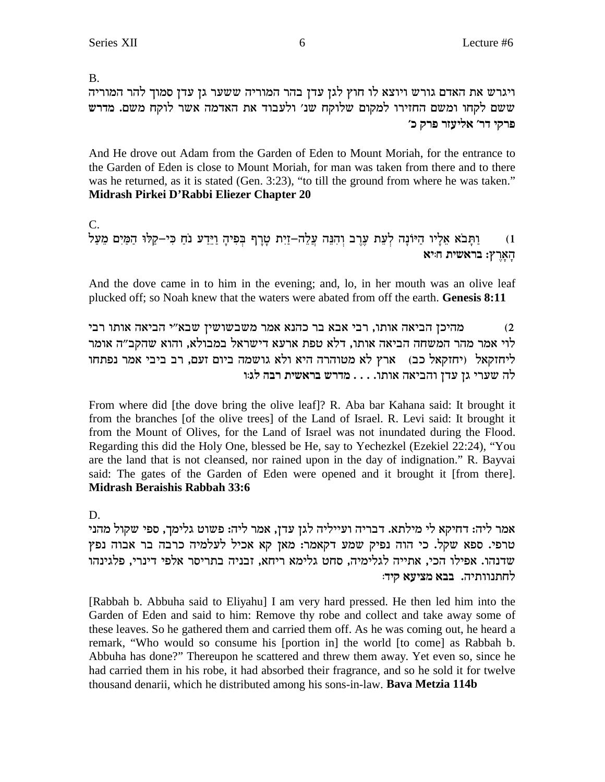$B<sub>1</sub>$ 

ויגרש את האדם גורש ויוצא לו חוץ לגן עדן בהר המוריה ששער גן עדן סמוך להר המוריה ששם לקחו ומשם החזירו למקום שלוקח שנ׳ ולעבוד את האדמה אשר לוקח משם. מדרש פרקי דר׳ אליעזר פרק כ׳

And He drove out Adam from the Garden of Eden to Mount Moriah, for the entrance to the Garden of Eden is close to Mount Moriah, for man was taken from there and to there was he returned, as it is stated (Gen. 3:23), "to till the ground from where he was taken." Midrash Pirkei D'Rabbi Eliezer Chapter 20

 $C_{\cdot}$ וַתָּבֹא אֵלָיו הַיּוֹנָה לְעֵת עֵרֵב וְהִנֵּה עֲלֵה–זַיִת טָרָף בִּפִיהָ וַיֵּדַע נֹחַ כִּי–קַלּוּ הַמַּיִם מֵעַל  $(1)$ הַאֲרֵץ: בראשית חייא

And the dove came in to him in the evening; and, lo, in her mouth was an olive leaf plucked off; so Noah knew that the waters were abated from off the earth. Genesis 8:11

מהיכן הביאה אותו, רבי אבא בר כהנא אמר משבשושין שבא״י הביאה אותו רבי  $(2)$ לוי אמר מהר המשחה הביאה אותו, דלא טפת ארעא דישראל במבולא, והוא שהקב״ה אומר ליחזקאל (יחזקאל כב) ארץ לא מטוהרה היא ולא גושמה ביום זעם, רב ביבי אמר נפתחו ית שערי גז עד<br/>ו $\dots$  אותו. $\dots$  אותו

From where did [the dove bring the olive leaf]? R. Aba bar Kahana said: It brought it from the branches [of the olive trees] of the Land of Israel. R. Levi said: It brought it from the Mount of Olives, for the Land of Israel was not inundated during the Flood. Regarding this did the Holy One, blessed be He, say to Yechezkel (Ezekiel 22:24), "You are the land that is not cleansed, nor rained upon in the day of indignation." R. Bayvai said: The gates of the Garden of Eden were opened and it brought it [from there]. **Midrash Beraishis Rabbah 33:6** 

D.

אמר ליה: דחיקא לי מילתא. דבריה ועייליה לגן עדן, אמר ליה: פשוט גלימך, ספי שקול מהני טרפי. ספא שקל. כי הוה נפיק שמע דקאמר: מאן קא אכיל לעלמיה כרבה בר אבוה נפץ שדנהו. אפילו הכי, אתייה לגלימיה, סחט גלימא ריחא, זבניה בתריסר אלפי דינרי, פלגינהו לחתנוותיה. בבא מציעא קיד:

[Rabbah b. Abbuha said to Eliyahu] I am very hard pressed. He then led him into the Garden of Eden and said to him: Remove thy robe and collect and take away some of these leaves. So he gathered them and carried them off. As he was coming out, he heard a remark, "Who would so consume his [portion in] the world [to come] as Rabbah b. Abbuha has done?" Thereupon he scattered and threw them away. Yet even so, since he had carried them in his robe, it had absorbed their fragrance, and so he sold it for twelve thousand denarii, which he distributed among his sons-in-law. Bava Metzia 114b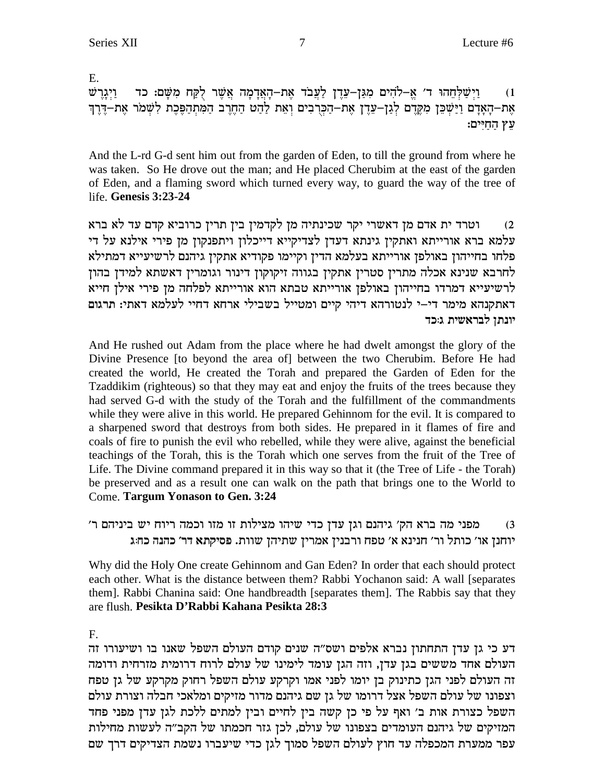$E_{\rm{L}}$ וַיִּשַׁלְחֲהוּ ד׳ אֱ–לֹהִים מְגַּן–עֲדֶן לַעֲבֹד אֶת–הָאֲדָמָה אֲשֶׁר לְקַח מְשַּׁם: כד ויגרש  $(1)$ אֶת–הָאַדָם וַיַּשְׁכֵּן מְקֵרֵם לְגַן–עֲדֶן אֶת–הַפְרִבִים וְאֶת לַהָט הַחֶרֶב הַמְּתְהַפֵּּכֶת לְשָׁמֹר אֶת–דֶּרֶךְ עֵץ הַחַיִּים:

And the L-rd G-d sent him out from the garden of Eden, to till the ground from where he was taken. So He drove out the man; and He placed Cherubim at the east of the garden of Eden, and a flaming sword which turned every way, to guard the way of the tree of life. Genesis 3:23-24

וטרד ית אדם מן דאשרי יקר שכינתיה מן לקדמין בין תרין כרוביא קדם עד לא ברא  $(2)$ עלמא ברא אורייתא ואתקין גינתא דעדן לצדיקייא דייכלון ויתפנקון מן פירי אילנא על די פלחו בחייהון באולפן אורייתא בעלמא הדין וקיימו פקודיא אתקין גיהנם לרשיעייא דמתילא לחרבא שנינא אכלה מתרין סטרין אתקין בגווה זיקוקון דינור וגומרין דאשתא למידן בהון לרשיעייא דמרדו בחייהון באולפן אורייתא טבתא הוא אורייתא לפלחה מן פירי אילן חייא דאתקנהא מימר די–י לנטורהא דיהי קיים ומטייל בשבילי ארחא דחיי לעלמא דאתי: תרגום יונתן לבראשית ג:כד

And He rushed out Adam from the place where he had dwelt amongst the glory of the Divine Presence [to beyond the area of] between the two Cherubim. Before He had created the world, He created the Torah and prepared the Garden of Eden for the Tzaddikim (righteous) so that they may eat and enjoy the fruits of the trees because they had served G-d with the study of the Torah and the fulfillment of the commandments while they were alive in this world. He prepared Gehinnom for the evil. It is compared to a sharpened sword that destroys from both sides. He prepared in it flames of fire and coals of fire to punish the evil who rebelled, while they were alive, against the beneficial teachings of the Torah, this is the Torah which one serves from the fruit of the Tree of Life. The Divine command prepared it in this way so that it (the Tree of Life - the Torah) be preserved and as a result one can walk on the path that brings one to the World to Come. Targum Yonason to Gen. 3:24

מפני מה ברא הק' גיהנם וגן עדן כדי שיהו מצילות זו מזו וכמה ריוח יש ביניהם ר'  $(3)$ יוחנן או' כותל ור' חנינא א' טפח ורבנין אמרין שתיהן שוות. פסיקתא דר' כהנה כחוג

Why did the Holy One create Gehinnom and Gan Eden? In order that each should protect each other. What is the distance between them? Rabbi Yochanon said: A wall [separates] them]. Rabbi Chanina said: One handbreadth [separates them]. The Rabbis say that they are flush. Pesikta D'Rabbi Kahana Pesikta 28:3

### $F<sub>r</sub>$

דע כי גן עדן התחתון נברא אלפים ושס"ה שנים קודם העולם השפל שאנו בו ושיעורו זה העולם אחד מששים בגז עדז, וזה הגז עומד לימינו של עולם לרוח דרומית מזרחית ודומה זה העולם לפני הגן כתינוק בן יומו לפני אמו וקרקע עולם השפל רחוק מקרקע של גן טפח וצפונו של עולם השפל אצל דרומו של גז שם גיהנם מדור מזיקים ומלאכי חבלה וצורת עולם השפל כצורת אות ב' ואף על פי כן קשה בין לחיים ובין למתים ללכת לגן עדן מפני פחד המזיקים של גיהנם העומדים בצפונו של עולם, לכן גזר חכמתו של הקב"ה לעשות מחילות עפר ממערת המכפלה עד חוץ לעולם השפל סמוך לגן כדי שיעברו נשמת הצדיקים דרך שם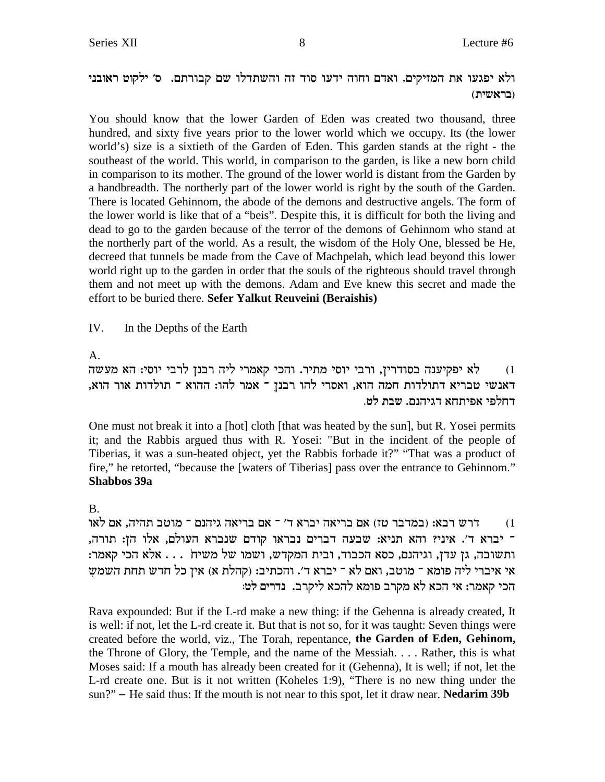## ולא יפגעו את המזיקים. ואדם וחוה ידעו סוד זה והשתדלו שם קבורתם. ס׳ ילקוט ראובני (בראשית)

You should know that the lower Garden of Eden was created two thousand, three hundred, and sixty five years prior to the lower world which we occupy. Its (the lower world's) size is a sixtieth of the Garden of Eden. This garden stands at the right - the southeast of the world. This world, in comparison to the garden, is like a new born child in comparison to its mother. The ground of the lower world is distant from the Garden by a handbreadth. The northerly part of the lower world is right by the south of the Garden. There is located Gehinnom, the abode of the demons and destructive angels. The form of the lower world is like that of a "beis". Despite this, it is difficult for both the living and dead to go to the garden because of the terror of the demons of Gehinnom who stand at the northerly part of the world. As a result, the wisdom of the Holy One, blessed be He, decreed that tunnels be made from the Cave of Machpelah, which lead beyond this lower world right up to the garden in order that the souls of the righteous should travel through them and not meet up with the demons. Adam and Eve knew this secret and made the effort to be buried there. Sefer Yalkut Reuveini (Beraishis)

IV. In the Depths of the Earth

### $A<sub>1</sub>$

לא יפקיענה בסודרין, ורבי יוסי מתיר. והכי קאמרי ליה רבנן לרבי יוסי: הא מעשה  $(1)$ דאנשי טבריא דתולדות חמה הוא, ואסרי להו רבנן ־ אמר להו: ההוא ־ תולדות אור הוא, דחלפי אפיתחא דגיהנם. שבת לט.

One must not break it into a [hot] cloth [that was heated by the sun], but R. Yosei permits it; and the Rabbis argued thus with R. Yosei: "But in the incident of the people of Tiberias, it was a sun-heated object, yet the Rabbis forbade it?" "That was a product of fire," he retorted, "because the [waters of Tiberias] pass over the entrance to Gehinnom." **Shabbos 39a** 

## $\mathbf{B}$

דרש רבא: (במדבר טז) אם בריאה יברא ד׳ ־ אם בריאה גיהנם ־ מוטב תהיה, אם לאו  $(1)$ ־ יברא ד'. איני? והא תניא: שבעה דברים נבראו קודם שנברא העולם, אלו הן: תורה, ותשובה, גן עדן, וגיהנם, כסא הכבוד, ובית המקדש, ושמו של משיח . . . אלא הכי קאמר: אי איברי ליה פומא ־ מוטב, ואם לא ־ יברא ד׳. והכתיב: (קהלת א) אין כל חדש תחת השמש הכי קאמר: אי הכא לא מקרב פומא להכא ליקרב. נדרים לט:

Rava expounded: But if the L-rd make a new thing: if the Gehenna is already created, It is well: if not, let the L-rd create it. But that is not so, for it was taught: Seven things were created before the world, viz., The Torah, repentance, the Garden of Eden, Gehinom, the Throne of Glory, the Temple, and the name of the Messiah.... Rather, this is what Moses said: If a mouth has already been created for it (Gehenna), It is well; if not, let the L-rd create one. But is it not written (Koheles 1:9), "There is no new thing under the  $\text{sun?}$  – He said thus: If the mouth is not near to this spot, let it draw near. Nedarim 39b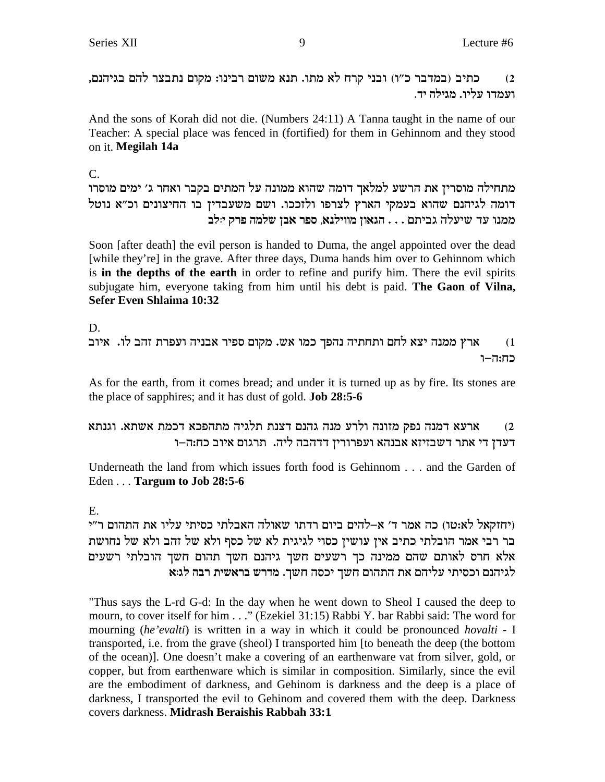כתיב (במדבר כ"ו) ובני קרח לא מתו. תנא משום רבינו: מקום נתבצר להם בגיהנם,  $(2)$ ועמדו עליו. מגילה יד.

And the sons of Korah did not die. (Numbers 24:11) A Tanna taught in the name of our Teacher: A special place was fenced in (fortified) for them in Gehinnom and they stood on it. Megilah 14a

 $C_{\cdot}$ 

מתחילה מוסרין את הרשע למלאך דומה שהוא ממונה על המתים בקבר ואחר ג׳ ימים מוסרו דומה לגיהנם שהוא בעמקי הארץ לצרפו ולזככו. ושם משעבדין בו החיצונים וכ"א נוטל ממנו עד שיעלה גביתם . . . הגאון מווילנא, ספר אבן שלמה פרק יולב

Soon [after death] the evil person is handed to Duma, the angel appointed over the dead [while they're] in the grave. After three days, Duma hands him over to Gehinnom which is in the depths of the earth in order to refine and purify him. There the evil spirits subjugate him, everyone taking from him until his debt is paid. The Gaon of Vilna, Sefer Even Shlaima 10:32

 $D_{\alpha}$ ארץ ממנה יצא לחם ותחתיה נהפך כמו אש. מקום ספיר אבניה ועפרת זהב לו. איוב  $(1)$ כח:ה-ו

As for the earth, from it comes bread; and under it is turned up as by fire. Its stones are the place of sapphires; and it has dust of gold. **Job 28:5-6** 

#### ארעא דמנה נפק מזונה ולרע מנה גהנם דצנת תלגיה מתהפכא דכמת אשתא. וגנתא  $(2)$ דעדן די אתר דשבזיזא אבנהא ועפרורין דדהבה ליה. תרגום איוב כח:ה–ו

Underneath the land from which issues forth food is Gehinnom . . . and the Garden of Eden . . . Targum to Job 28:5-6

## E.

(יחזקאל לא:טו) כה אמר ד' א-להים ביום רדתו שאולה האבלתי כסיתי עליו את התהום ר"י בר רבי אמר הובלתי כתיב אין עושין כסוי לגיגית לא של כסף ולא של זהב ולא של נחושת אלא חרס לאותם שהם ממינה כך רשעים חשך גיהנם חשך תהום חשך הובלתי רשעים לגיהנם וכסיתי עליהם את התהום חשך יכסה חשך. מדרש בראשית רבה לג:א

"Thus says the L-rd G-d: In the day when he went down to Sheol I caused the deep to mourn, to cover itself for him . . ." (Ezekiel 31:15) Rabbi Y. bar Rabbi said: The word for mourning (he'evalti) is written in a way in which it could be pronounced hovalti - I transported, i.e. from the grave (sheol) I transported him [to beneath the deep (the bottom of the ocean)]. One doesn't make a covering of an earthenware vat from silver, gold, or copper, but from earthenware which is similar in composition. Similarly, since the evil are the embodiment of darkness, and Gehinom is darkness and the deep is a place of darkness, I transported the evil to Gehinom and covered them with the deep. Darkness covers darkness. Midrash Beraishis Rabbah 33:1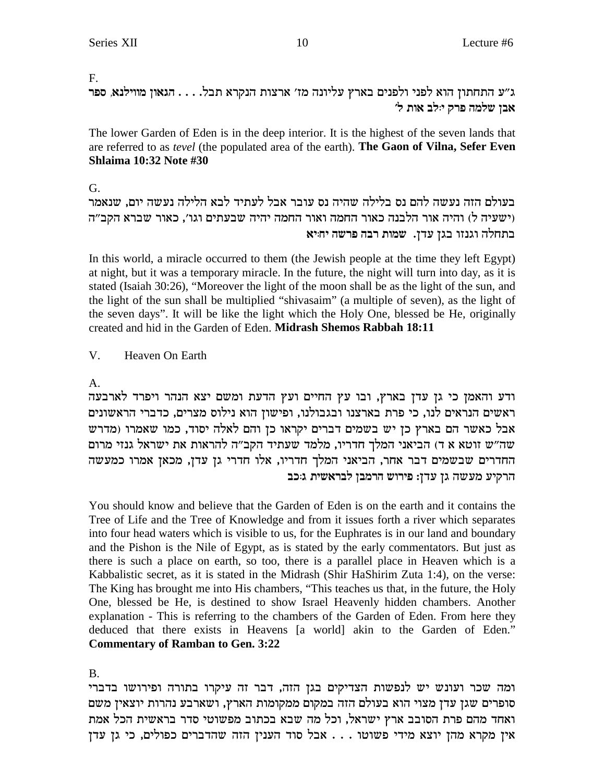#### $F_{\perp}$

ג״ע התחתון הוא לפני ולפנים בארץ עליונה מז׳ ארצות הנקרא תבל. . . . הגאון מווילנא, ספר אבן שלמה פרק יולב אות ל׳

The lower Garden of Eden is in the deep interior. It is the highest of the seven lands that are referred to as *tevel* (the populated area of the earth). The Gaon of Vilna, Sefer Even **Shlaima 10:32 Note #30** 

#### G.

בעולם הזה נעשה להם נס בלילה שהיה נס עובר אבל לעתיד לבא הלילה נעשה יום, שנאמר וישעיה ל) והיה אור הלבנה כאור החמה ואור החמה יהיה שבעתים וגו׳, כאור שברא הקב״ה בתחלה וגנזו בגן עדן. שמות רבה פרשה יחיא

In this world, a miracle occurred to them (the Jewish people at the time they left Egypt) at night, but it was a temporary miracle. In the future, the night will turn into day, as it is stated (Isaiah 30:26), "Moreover the light of the moon shall be as the light of the sun, and the light of the sun shall be multiplied "shivasaim" (a multiple of seven), as the light of the seven days". It will be like the light which the Holy One, blessed be He, originally created and hid in the Garden of Eden. Midrash Shemos Rabbah 18:11

#### $V_{\cdot}$ Heaven On Earth

### $\mathbf{A}$

ודע והאמן כי גן עדן בארץ, ובו עץ החיים ועץ הדעת ומשם יצא הנהר ויפרד לארבעה ראשים הנראים לנו, כי פרת בארצנו ובגבולנו, ופישון הוא נילוס מצרים, כדברי הראשונים אבל כאשר הם בארץ כן יש בשמים דברים יקראו כן והם לאלה יסוד, כמו שאמרו (מדרש שה״ש זוטא א ד) הביאני המלך חדריו, מלמד שעתיד הקב״ה להראות את ישראל גנזי מרום החדרים שבשמים דבר אחר, הביאני המלך חדריו, אלו חדרי גן עדן, מכאן אמרו כמעשה הרקיע מעשה גן עדן: פירוש הרמבן לבראשית ג:כב

You should know and believe that the Garden of Eden is on the earth and it contains the Tree of Life and the Tree of Knowledge and from it issues forth a river which separates into four head waters which is visible to us, for the Euphrates is in our land and boundary and the Pishon is the Nile of Egypt, as is stated by the early commentators. But just as there is such a place on earth, so too, there is a parallel place in Heaven which is a Kabbalistic secret, as it is stated in the Midrash (Shir HaShirim Zuta 1:4), on the verse: The King has brought me into His chambers, "This teaches us that, in the future, the Holy One, blessed be He, is destined to show Israel Heavenly hidden chambers. Another explanation - This is referring to the chambers of the Garden of Eden. From here they deduced that there exists in Heavens [a world] akin to the Garden of Eden." **Commentary of Ramban to Gen. 3:22** 

### **B.**

ומה שכר ועונש יש לנפשות הצדיקים בגן הזה, דבר זה עיקרו בתורה ופירושו בדברי סופרים שגן עדן מצוי הוא בעולם הזה במקום ממקומות הארץ, ושארבע נהרות יוצאין משם ואחד מהם פרת הסובב ארץ ישראל, וכל מה שבא בכתוב מפשוטי סדר בראשית הכל אמת אין מקרא מהן יוצא מידי פשוטו . . . אבל סוד הענין הזה שהדברים כפולים, כי גן עדן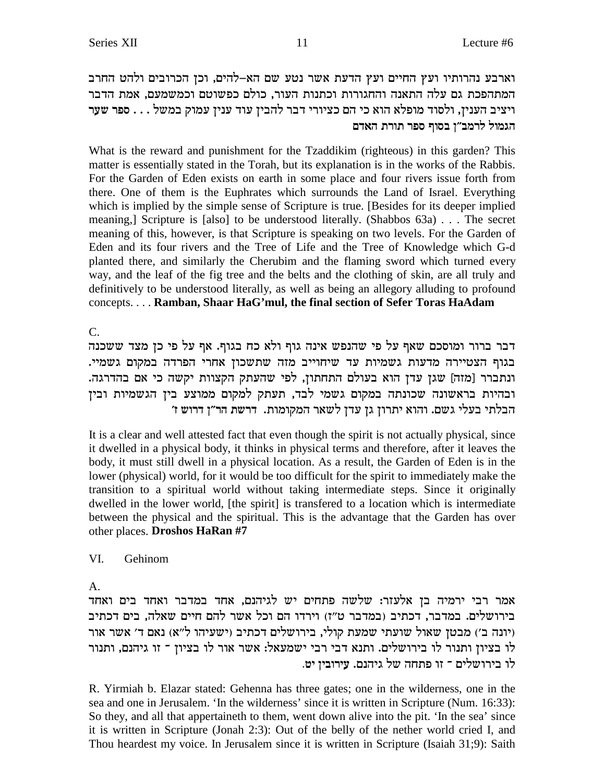וארבע נהרותיו ועץ החיים ועץ הדעת אשר נטע שם הא-להים, וכן הכרובים ולהט החרב המתהפכת גם עלה התאנה והחגורות וכתנות העור, כולם כפשוטם וכמשמעם, אמת הדבר ויציב הענין, ולסוד מופלא הוא כי הם כציורי דבר להבין עוד ענין עמוק במשל . . . ספר שער הגמול לרמב״ן בסוף ספר תורת האדם

What is the reward and punishment for the Tzaddikim (righteous) in this garden? This matter is essentially stated in the Torah, but its explanation is in the works of the Rabbis. For the Garden of Eden exists on earth in some place and four rivers issue forth from there. One of them is the Euphrates which surrounds the Land of Israel. Everything which is implied by the simple sense of Scripture is true. [Besides for its deeper implied meaning,] Scripture is [also] to be understood literally. (Shabbos 63a) . . . The secret meaning of this, however, is that Scripture is speaking on two levels. For the Garden of Eden and its four rivers and the Tree of Life and the Tree of Knowledge which G-d planted there, and similarly the Cherubim and the flaming sword which turned every way, and the leaf of the fig tree and the belts and the clothing of skin, are all truly and definitively to be understood literally, as well as being an allegory alluding to profound concepts.... Ramban, Shaar HaG'mul, the final section of Sefer Toras HaAdam

 $C_{\cdot}$ 

דבר ברור ומוסכם שאף על פי שהנפש אינה גוף ולא כח בגוף. אף על פי כן מצד ששכנה בגוף הצטיירה מדעות גשמיות עד שיחוייב מזה שתשכון אחרי הפרדה במקום גשמיי. ונתברר [מזה] שגן עדן הוא בעולם התחתון, לפי שהעתק הקצוות יקשה כי אם בהדרגה. ובהיות בראשונה שכונתה במקום גשמי לבד, תעתק למקום ממוצע בין הגשמיות ובין הבלתי בעלי גשם. והוא יתרון גן עדן לשאר המקומות. דרשת הר"ן דרוש ז'

It is a clear and well attested fact that even though the spirit is not actually physical, since it dwelled in a physical body, it thinks in physical terms and therefore, after it leaves the body, it must still dwell in a physical location. As a result, the Garden of Eden is in the lower (physical) world, for it would be too difficult for the spirit to immediately make the transition to a spiritual world without taking intermediate steps. Since it originally dwelled in the lower world, [the spirit] is transfered to a location which is intermediate between the physical and the spiritual. This is the advantage that the Garden has over other places. Droshos HaRan #7

#### VI. Gehinom

 $A<sub>1</sub>$ 

אמר רבי ירמיה בן אלעזר: שלשה פתחים יש לגיהנם, אחד במדבר ואחד בים ואחד בירושלים. במדבר, דכתיב (במדבר ט"ז) וירדו הם וכל אשר להם חיים שאלה, בים דכתיב ויונה ב') מבטן שאול שועתי שמעת קולי, בירושלים דכתיב (ישעיהו ל"א) נאם ד' אשר אור לו בציון ותנור לו בירושלים. ותנא דבי רבי ישמעאל: אשר אור לו בציון ־ זו גיהנם, ותנור לו בירושלים ־ זו פתחה של גיהנם. עירוביז יט.

R. Yirmiah b. Elazar stated: Gehenna has three gates; one in the wilderness, one in the sea and one in Jerusalem. 'In the wilderness' since it is written in Scripture (Num. 16:33): So they, and all that appertaineth to them, went down alive into the pit. 'In the sea' since it is written in Scripture (Jonah 2:3): Out of the belly of the nether world cried I, and Thou heardest my voice. In Jerusalem since it is written in Scripture (Isaiah 31;9): Saith